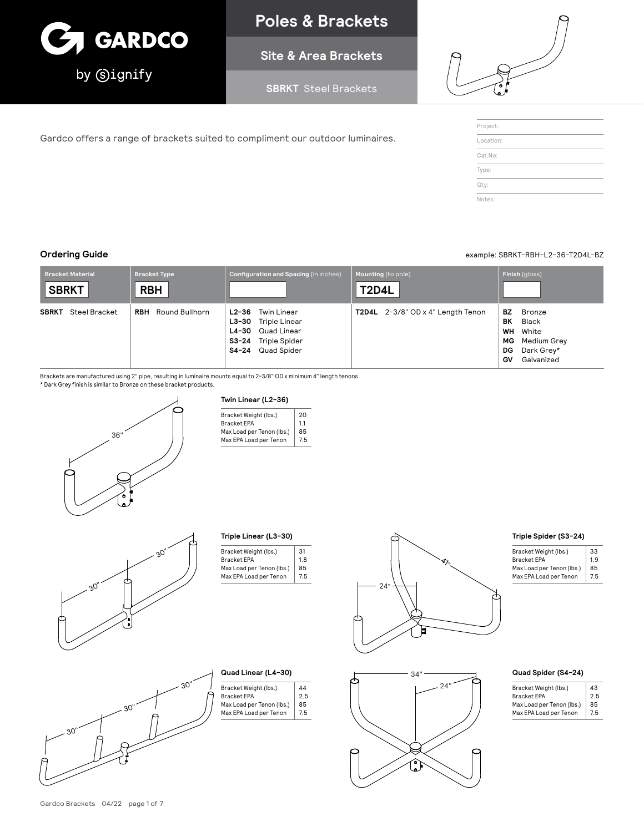

# **Poles & Brackets**

**Site & Area Brackets**

**SBRKT** Steel Brackets



| Project:  |  |  |
|-----------|--|--|
| Location: |  |  |
| Cat.No:   |  |  |
| Type:     |  |  |
| Qty:      |  |  |

# **Ordering Guide** example: SBRKT-RBH-L2-36-T2D4L-BZ

| <b>Bracket Material</b><br><b>SBRKT</b> | Bracket Type<br><b>RBH</b> | Configuration and Spacing (in inches)                                                                        | Mounting (to pole)<br><b>T2D4L</b> | Finish (gloss)                                                                                         |
|-----------------------------------------|----------------------------|--------------------------------------------------------------------------------------------------------------|------------------------------------|--------------------------------------------------------------------------------------------------------|
| <b>SBRKT</b> Steel Bracket              | <b>RBH</b> Round Bullhorn  | Twin Linear<br>L2-36<br>L3-30 Triple Linear<br>L4-30 Quad Linear<br>S3-24 Triple Spider<br>S4-24 Quad Spider | T2D4L 2-3/8" OD x 4" Length Tenon  | BZ.<br>Bronze<br>BK<br>Black<br>WH White<br>Medium Grey<br>MG<br>Dark Grey*<br>DG.<br>Galvanized<br>GV |

Brackets are manufactured using 2" pipe, resulting in luminaire mounts equal to 2-3/8" OD x minimum 4" length tenons.

Gardco offers a range of brackets suited to compliment our outdoor luminaires.

\* Dark Grey finish is similar to Bronze on these bracket products.



# **Twin Linear (L2-36)**

| 20  |
|-----|
| 1.1 |
| 85  |
| 7.5 |
|     |





|  | Triple Linear (L3-30) |
|--|-----------------------|

| Bracket Weight (lbs.)     | 31 |
|---------------------------|----|
| <b>Bracket EPA</b>        | 18 |
| Max Load per Tenon (lbs.) | 85 |
| Max EPA Load per Tenon    | 75 |
|                           |    |

44 2.5 85 7.5





| example: SBRKT-RBH-L2-36-T2D4L-B2 |  |
|-----------------------------------|--|
|                                   |  |

| Triple Spider (S3-24) |
|-----------------------|
|                       |

| Bracket Weight (lbs.)     | 33  |
|---------------------------|-----|
| <b>Bracket EPA</b>        | 1.9 |
| Max Load per Tenon (lbs.) | 85  |
| Max EPA Load per Tenon    | 7.5 |

# **Quad Spider (S4-24)**

| 43  |
|-----|
| 25  |
| 85  |
| 7.5 |
|     |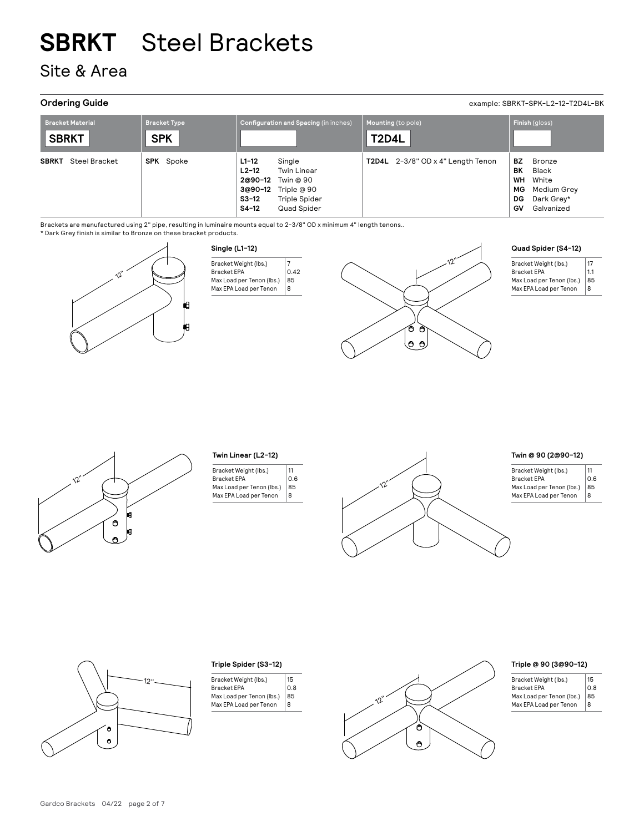Site & Area

**Ordering Guide** example: SBRKT-SPK-L2-12-T2D4L-BK

| <b>Bracket Material</b><br><b>SBRKT</b> | <b>Bracket Type</b><br><b>SPK</b> |                                          | Configuration and Spacing (in inches)                                                                    | <b>T2D4L</b> | Mounting (to pole)                |                                   | Finish (gloss)                                                      |
|-----------------------------------------|-----------------------------------|------------------------------------------|----------------------------------------------------------------------------------------------------------|--------------|-----------------------------------|-----------------------------------|---------------------------------------------------------------------|
| <b>SBRKT</b><br>Steel Bracket           | <b>SPK</b> Spoke                  | $L1-12$<br>$L2-12$<br>$S3-12$<br>$S4-12$ | Single<br><b>Twin Linear</b><br>2@90-12 Twin @ 90<br>3@90-12 Triple @ 90<br>Triple Spider<br>Quad Spider |              | T2D4L 2-3/8" OD x 4" Length Tenon | BZ<br>BK<br>WH<br>MG<br>DG.<br>GV | Bronze<br>Black<br>White<br>Medium Grey<br>Dark Grey*<br>Galvanized |

Brackets are manufactured using 2" pipe, resulting in luminaire mounts equal to 2-3/8" OD x minimum 4" length tenons..

\* Dark Grey finish is similar to Bronze on these bracket products.



| Bracket Weight (lbs.)     |      |
|---------------------------|------|
| <b>Bracket FPA</b>        | 0.42 |
| Max Load per Tenon (Ibs.) | 85   |
| Max EPA Load per Tenon    | я    |



|  | Quad Spider (S4-12) |  |
|--|---------------------|--|
|--|---------------------|--|

| Bracket Weight (lbs.)<br><b>Bracket EPA</b> | 17<br>1.1 |
|---------------------------------------------|-----------|
| Max Load per Tenon (Ibs.)                   | 85        |
| Max EPA Load per Tenon                      | 8         |



# **Twin Linear (L2-12)**

| Bracket Weight (lbs.)     | 11  |
|---------------------------|-----|
| <b>Bracket EPA</b>        | 0.6 |
| Max Load per Tenon (Ibs.) | 85  |
| Max EPA Load per Tenon    | R   |
|                           |     |

# **Twin @ 90 (2@90-12)**

| Bracket Weight (lbs.)     | 11  |
|---------------------------|-----|
| <b>Bracket EPA</b>        | 0.6 |
| Max Load per Tenon (Ibs.) | 85  |
| Max EPA Load per Tenon    | R   |



|  |  | Triple Spider (S3-12) |
|--|--|-----------------------|
|--|--|-----------------------|

| 15  |
|-----|
| 0.8 |
| 85  |
| R   |
|     |



# **Triple @ 90 (3@90-12)**

| Bracket Weight (lbs.)     | 15  |
|---------------------------|-----|
| <b>Bracket EPA</b>        | 0.8 |
| Max Load per Tenon (Ibs.) | 85  |
| Max EPA Load per Tenon    | 8   |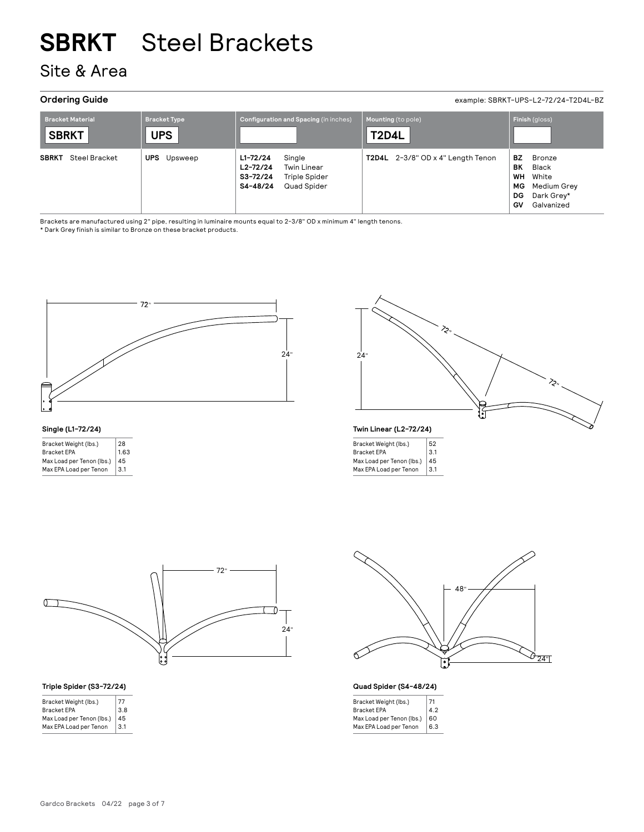# Site & Area

**Ordering Guide** example: SBRKT-UPS-L2-72/24-T2D4L-BZ

| <b>Bracket Material</b><br><b>SBRKT</b> | <b>Bracket Type</b><br><b>UPS</b> | <b>Configuration and Spacing (in inches)</b>                                                                  | Mounting (to pole)<br><b>T2D4L</b> | Finish (gloss)                                                                                            |
|-----------------------------------------|-----------------------------------|---------------------------------------------------------------------------------------------------------------|------------------------------------|-----------------------------------------------------------------------------------------------------------|
| <b>SBRKT</b><br>Steel Bracket           | UPS<br>Upsweep                    | $L1 - 72/24$<br>Single<br>$L2 - 72/24$<br>Twin Linear<br>S3-72/24<br>Triple Spider<br>S4-48/24<br>Quad Spider | T2D4L 2-3/8" OD x 4" Length Tenon  | BZ<br>Bronze<br>ΒK<br>Black<br>WH<br>White<br>Medium Grey<br>MG.<br>Dark Grey*<br>DG.<br>Galvanized<br>GV |

Brackets are manufactured using 2" pipe, resulting in luminaire mounts equal to 2-3/8" OD x minimum 4" length tenons.

\* Dark Grey finish is similar to Bronze on these bracket products.



# **Single (L1-72/24)**

| 28   |
|------|
| 1.63 |
| 45   |
| 3.1  |
|      |



## **Twin Linear (L2-72/24)**

| Bracket Weight (lbs.)     | 52  |
|---------------------------|-----|
| <b>Bracket EPA</b>        | 3.1 |
| Max Load per Tenon (lbs.) | 45  |
| Max EPA Load per Tenon    | 3.1 |
|                           |     |



# **Triple Spider (S3-72/24)**

| Bracket Weight (lbs.)     | 77  |
|---------------------------|-----|
| <b>Bracket EPA</b>        | 3.8 |
| Max Load per Tenon (Ibs.) | 45  |
| Max EPA Load per Tenon    | 3.1 |
|                           |     |



**Quad Spider (S4-48/24)**

| Bracket Weight (lbs.)     | 71  |
|---------------------------|-----|
| <b>Bracket EPA</b>        | 4.2 |
| Max Load per Tenon (lbs.) | 60  |
| Max EPA Load per Tenon    | 6.3 |
|                           |     |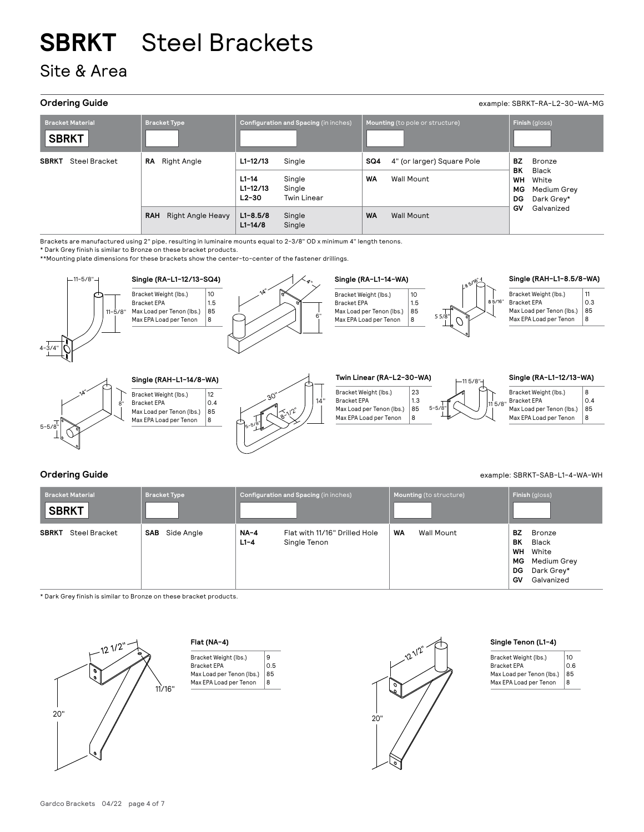Site & Area

| <b>Ordering Guide</b><br>example: SBRKT-RA-L2-30-WA-MG |                                        |                                                                                                        |                                                                     |                                                                                     |
|--------------------------------------------------------|----------------------------------------|--------------------------------------------------------------------------------------------------------|---------------------------------------------------------------------|-------------------------------------------------------------------------------------|
| <b>Bracket Material</b><br><b>SBRKT</b>                | <b>Bracket Type</b>                    | Configuration and Spacing (in inches)                                                                  | Mounting (to pole or structure)                                     | Finish (gloss)                                                                      |
| <b>SBRKT</b><br>Steel Bracket                          | <b>Right Angle</b><br>RA               | $L1 - 12/13$<br>Single<br>Single<br>$L1-14$<br>$L1 - 12/13$<br>Single<br>$L2-30$<br><b>Twin Linear</b> | SQ4<br>4" (or larger) Square Pole<br><b>WA</b><br><b>Wall Mount</b> | BZ<br>Bronze<br>ВK<br>Black<br>WH<br>White<br>МG<br>Medium Grey<br>DG<br>Dark Grey* |
|                                                        | <b>Right Angle Heavy</b><br><b>RAH</b> | $L1 - 8.5/8$<br>Single<br>$L1 - 14/8$<br>Single                                                        | <b>WA</b><br>Wall Mount                                             | GV<br>Galvanized                                                                    |

Brackets are manufactured using 2" pipe, resulting in luminaire mounts equal to 2-3/8" OD x minimum 4" length tenons.

\* Dark Grey finish is similar to Bronze on these bracket products.

\*\*Mounting plate dimensions for these brackets show the center-to-center of the fastener drillings.





### Bracket Weight (lbs.) Bracket EPA Max Load per Tenon (lbs.) Max EPA Load per Tenon  $\overline{12}$  $0.4$ 85 8



 $_{5-5/8}$ " $\sim$  11<sup>5/8"</sup> Bracket Weight (lbs.) Bracket EPA Max Load per Tenon (lbs.) Max EPA Load per Tenon 23 1.3  $|85|$ 8

| Bracket Weight (lbs.)     | R   |
|---------------------------|-----|
| <b>Bracket EPA</b>        | 0.4 |
| Max Load per Tenon (lbs.) | 85  |
| Max EPA Load per Tenon    | 8   |
|                           |     |

| <b>Ordering Guide</b> | example: SBRKT-SAB-L1-4-WA-WH |
|-----------------------|-------------------------------|

| <b>Bracket Material</b><br><b>SBRKT</b> | <b>Bracket Type</b> |                    | Configuration and Spacing (in inches)         |           | Mounting (to structure) |                                         | Finish (gloss)                                                      |
|-----------------------------------------|---------------------|--------------------|-----------------------------------------------|-----------|-------------------------|-----------------------------------------|---------------------------------------------------------------------|
| Steel Bracket<br><b>SBRKT</b>           | Side Angle<br>SAB   | $NA-4$<br>$L1 - 4$ | Flat with 11/16" Drilled Hole<br>Single Tenon | <b>WA</b> | <b>Wall Mount</b>       | BZ<br>ВK<br>WH<br>MG<br>DG<br><b>GV</b> | Bronze<br>Black<br>White<br>Medium Grey<br>Dark Grey*<br>Galvanized |

\* Dark Grey finish is similar to Bronze on these bracket products.



# **Flat (NA-4)**





# **Single Tenon (L1-4)**

| Bracket Weight (lbs.)     | 10  |
|---------------------------|-----|
| <b>Bracket EPA</b>        | 0.6 |
| Max Load per Tenon (lbs.) | 85  |
| Max EPA Load per Tenon    | 8   |
|                           |     |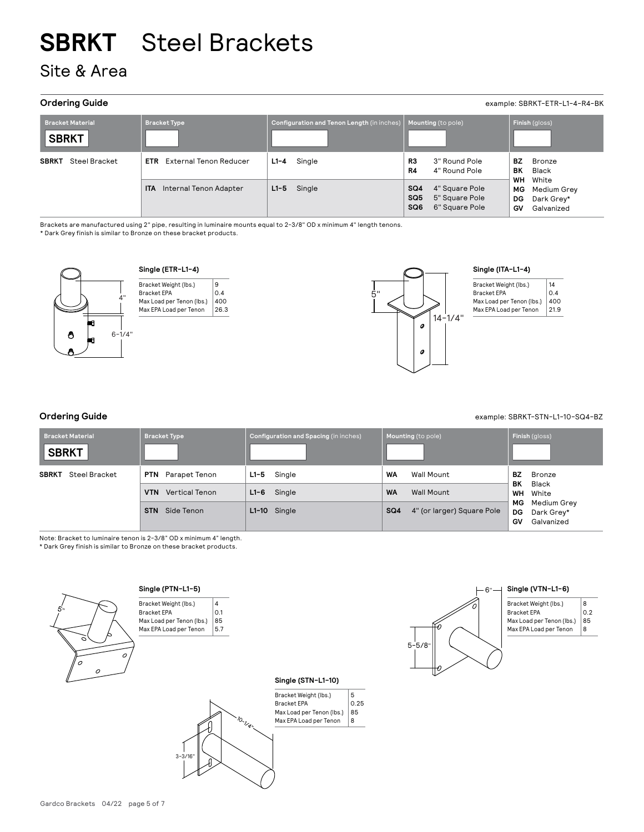# Site & Area

# **Ordering Guide** example: SBRKT-ETR-L1-4-R4-BK

| <b>Bracket Material</b><br><b>SBRKT</b> | <b>Bracket Type</b>                  | Configuration and Tenon Length (in inches) | Mounting (to pole)                                                                              | Finish (gloss)                                                           |
|-----------------------------------------|--------------------------------------|--------------------------------------------|-------------------------------------------------------------------------------------------------|--------------------------------------------------------------------------|
| SBRKT<br>Steel Bracket                  | <b>ETR</b> External Tenon Reducer    | $L1 - 4$ Single                            | 3" Round Pole<br>R3<br>4" Round Pole<br>R4                                                      | ВZ<br>Bronze<br>ВK<br>Black                                              |
|                                         | <b>ITA</b><br>Internal Tenon Adapter | $L1-5$ Single                              | SQ4<br>4" Square Pole<br>SQ <sub>5</sub><br>5" Square Pole<br>SQ <sub>6</sub><br>6" Square Pole | WH<br>White<br>Medium Grey<br>MG<br>Dark Grey*<br>DG<br>Galvanized<br>GV |

Brackets are manufactured using 2" pipe, resulting in luminaire mounts equal to 2-3/8" OD x minimum 4" length tenons.

\* Dark Grey finish is similar to Bronze on these bracket products.



**Single (ETR-L1-4)** Bracket Weight (lbs.) Bracket EPA Max Load per Tenon (lbs.) Max EPA Load per Tenon 9  $|0.4$ 400 26.3



## **Single (ITA-L1-4)**

| 14   |
|------|
| 0.4  |
| 400  |
| 21.9 |
|      |

**Ordering Guide** example: SBRKT-STN-L1-10-SQ4-BZ

| <b>Bracket Material</b><br><b>SBRKT</b> | <b>Bracket Type</b>                                      | Configuration and Spacing (in inches)    | Mounting (to pole)                          | Finish (gloss)                                            |
|-----------------------------------------|----------------------------------------------------------|------------------------------------------|---------------------------------------------|-----------------------------------------------------------|
| <b>SBRKT</b><br>Steel Bracket           | <b>PTN</b> Parapet Tenon<br>Vertical Tenon<br><b>VTN</b> | $L1 - 5$<br>Single<br>$L1 - 6$<br>Single | WA<br>Wall Mount<br><b>WA</b><br>Wall Mount | BZ<br>Bronze<br>BK<br>Black<br><b>WH</b> White            |
|                                         | Side Tenon<br><b>STN</b>                                 | $L1-10$ Single                           | SQ4<br>4" (or larger) Square Pole           | МG<br>Medium Grey<br>DG<br>Dark Grey*<br>GV<br>Galvanized |

Note: Bracket to luminaire tenon is 2-3/8" OD x minimum 4" length.

\* Dark Grey finish is similar to Bronze on these bracket products.





3-3/16"

10-1/4"

**Single (STN-L1-10)**





## Bracket Weight (lbs.) Bracket EPA 8

Max Load per Tenon (lbs.) Max EPA Load per Tenon 0.2 85 8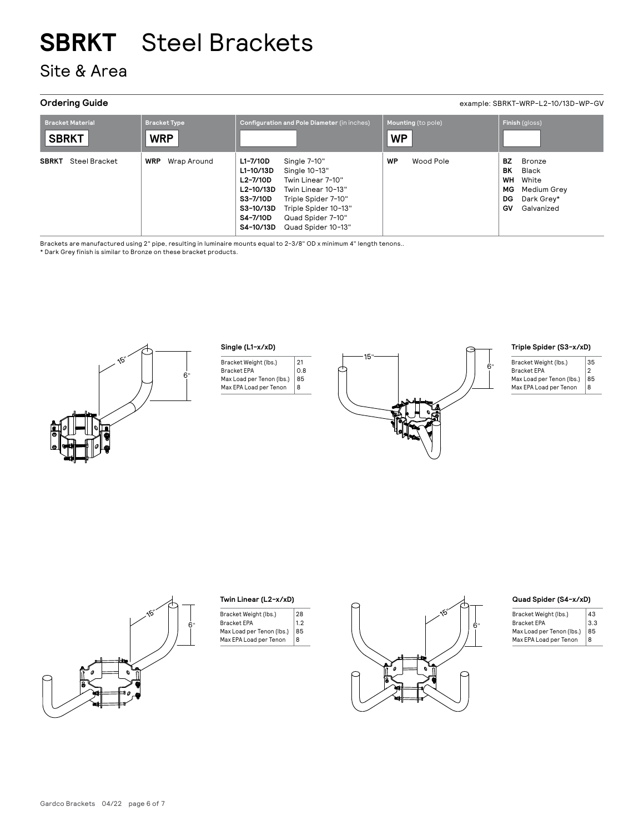# Site & Area

**Ordering Guide** example: SBRKT-WRP-L2-10/13D-WP-GV

| <b>Bracket Material</b><br><b>SBRKT</b> | <b>Bracket Type</b><br><b>WRP</b> | <b>Configuration and Pole Diameter (in inches)</b>                                                                                                                                                                                                                     | Mounting (to pole)<br><b>WP</b> | Finish (gloss)                                                                                                   |
|-----------------------------------------|-----------------------------------|------------------------------------------------------------------------------------------------------------------------------------------------------------------------------------------------------------------------------------------------------------------------|---------------------------------|------------------------------------------------------------------------------------------------------------------|
| <b>SBRKT</b><br>Steel Bracket           | Wrap Around<br><b>WRP</b>         | L1-7/10D<br>Single 7-10"<br>Single 10-13"<br>L1-10/13D<br>L2-7/10D<br>Twin Linear 7-10"<br>L2-10/13D<br>Twin Linear 10-13"<br>S3-7/10D<br>Triple Spider 7-10"<br>S3-10/13D<br>Triple Spider 10-13"<br>S4-7/10D<br>Quad Spider 7-10"<br>S4-10/13D<br>Quad Spider 10-13" | WP<br>Wood Pole                 | BZ.<br>Bronze<br>BК<br>Black<br><b>WH</b><br>White<br>MG.<br>Medium Grey<br>DG<br>Dark Grey*<br>GV<br>Galvanized |

Brackets are manufactured using 2" pipe, resulting in luminaire mounts equal to 2-3/8" OD x minimum 4" length tenons.. \* Dark Grey finish is similar to Bronze on these bracket products.



# **Single (L1-x/xD)**

| Bracket Weight (lbs.)     | 21  |
|---------------------------|-----|
| <b>Bracket EPA</b>        | 0.8 |
| Max Load per Tenon (lbs.) | 85  |
| Max EPA Load per Tenon    | R   |
|                           |     |



# **Triple Spider (S3-x/xD)**

| Bracket Weight (lbs.)     | 35 |
|---------------------------|----|
| <b>Bracket EPA</b>        | 2  |
| Max Load per Tenon (Ibs.) | 85 |
| Max EPA Load per Tenon    | R  |

6"



# **Twin Linear (L2-x/xD)**

| 28  |
|-----|
| 1.2 |
| 85  |
| R   |
|     |



# **Quad Spider (S4-x/xD)**

| Bracket Weight (lbs.)     | 43  |
|---------------------------|-----|
| <b>Bracket EPA</b>        | 3.3 |
| Max Load per Tenon (Ibs.) | 85  |
| Max EPA Load per Tenon    | R   |